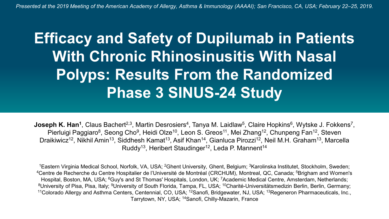## **Efficacy and Safety of Dupilumab in Patients With Chronic Rhinosinusitis With Nasal Polyps: Results From the Randomized Phase 3 SINUS-24 Study**

**Joseph K. Han<sup>1</sup>, Claus Bachert<sup>2,3</sup>, Martin Desrosiers<sup>4</sup>, Tanya M. Laidlaw<sup>5</sup>, Claire Hopkins<sup>6</sup>, Wytske J. Fokkens<sup>7</sup>,** Pierluigi Paggiaro<sup>8</sup>, Seong Cho<sup>9</sup>, Heidi Olze<sup>10</sup>, Leon S. Greos<sup>11</sup>, Mei Zhang<sup>12</sup>, Chunpeng Fan<sup>12</sup>, Steven Draikiwicz<sup>12</sup>, Nikhil Amin<sup>13</sup>, Siddhesh Kamat<sup>13</sup>, Asif Khan<sup>14</sup>, Gianluca Pirozzi<sup>12</sup>, Neil M.H. Graham<sup>13</sup>, Marcella Ruddy<sup>13</sup>, Heribert Staudinger<sup>12</sup>, Leda P. Mannent<sup>14</sup>

1Eastern Virginia Medical School, Norfolk, VA, USA; 2Ghent University, Ghent, Belgium; 3Karolinska Institutet, Stockholm, Sweden; <sup>4</sup>Centre de Recherche du Centre Hospitalier de l'Université de Montréal (CRCHUM), Montreal, QC, Canada; <sup>5</sup>Brigham and Women's Hospital, Boston, MA, USA; <sup>6</sup>Guy's and St Thomas' Hospitals, London, UK; <sup>7</sup>Academic Medical Centre, Amsterdam, Netherlands; 8University of Pisa, Pisa, Italy; 9University of South Florida, Tampa, FL, USA; 10Charité-Universitätsmedizin Berlin, Berlin, Germany; 11Colorado Allergy and Asthma Centers, Centennial, CO, USA; 12Sanofi, Bridgewater, NJ, USA; 13Regeneron Pharmaceuticals, Inc., Tarrytown, NY, USA; 14Sanofi, Chilly-Mazarin, France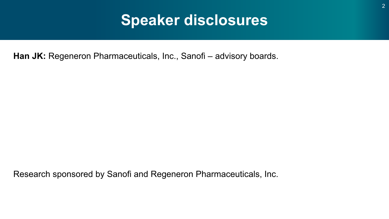## **Speaker disclosures**

Han JK: Regeneron Pharmaceuticals, Inc., Sanofi – advisory boards.

Research sponsored by Sanofi and Regeneron Pharmaceuticals, Inc.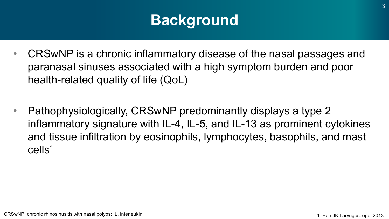## **Background**

- CRSwNP is a chronic inflammatory disease of the nasal passages and paranasal sinuses associated with a high symptom burden and poor health-related quality of life (QoL)
- Pathophysiologically, CRSwNP predominantly displays a type 2 inflammatory signature with IL-4, IL-5, and IL-13 as prominent cytokines and tissue infiltration by eosinophils, lymphocytes, basophils, and mast cells1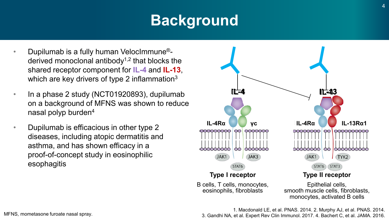# **Background**

- Dupilumab is a fully human VelocImmune® derived monoclonal antibody<sup> $1,2$ </sup> that blocks the shared receptor component for **IL-4** and **IL-13**, which are key drivers of type 2 inflammation<sup>3</sup>
- In a phase 2 study (NCT01920893), dupilumab on a background of MFNS was shown to reduce nasal polyp burden4
- Dupilumab is efficacious in other type 2 diseases, including atopic dermatitis and asthma, and has shown efficacy in a proof-of-concept study in eosinophilic esophagitis



1. Macdonald LE, et al. PNAS. 2014. 2. Murphy AJ, et al. PNAS. 2014. 3. Gandhi NA, et al. Expert Rev Clin Immunol. 2017. 4. Bachert C, et al. JAMA. 2016.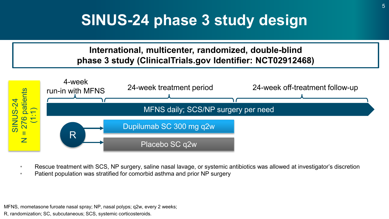## **SINUS-24 phase 3 study design**

#### **International, multicenter, randomized, double-blind phase 3 study (ClinicalTrials.gov Identifier: NCT02912468)** 4-week run-in with MFNS 24-week treatment period 24-week off-treatment follow-up <sup>7</sup>6 patients  $N = 276$  patients SINUS-24 MFNS daily; SCS/NP surgery per need  $\overline{\phantom{0}}$ **SINUS** Dupilumab SC 300 mg q2w R  $\overline{z}$ Placebo SC q2w

- Rescue treatment with SCS, NP surgery, saline nasal lavage, or systemic antibiotics was allowed at investigator's discretion
- Patient population was stratified for comorbid asthma and prior NP surgery

MFNS, mometasone furoate nasal spray; NP, nasal polyps; q2w, every 2 weeks; R, randomization; SC, subcutaneous; SCS, systemic corticosteroids.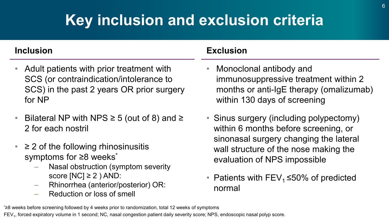# **Key inclusion and exclusion criteria**

#### **Inclusion**

- Adult patients with prior treatment with SCS (or contraindication/intolerance to SCS) in the past 2 years OR prior surgery for NP
- Bilateral NP with NPS  $\geq$  5 (out of 8) and  $\geq$ 2 for each nostril
- $\geq$  2 of the following rhinosinusitis symptoms for ≥8 weeks<sup>\*</sup>
	- Nasal obstruction (symptom severity score  $[NC] \geq 2$  ) AND:
	- Rhinorrhea (anterior/posterior) OR:
	- Reduction or loss of smell

#### **Exclusion**

- Monoclonal antibody and immunosuppressive treatment within 2 months or anti-IgE therapy (omalizumab) within 130 days of screening
- Sinus surgery (including polypectomy) within 6 months before screening, or sinonasal surgery changing the lateral wall structure of the nose making the evaluation of NPS impossible
- Patients with FEV<sub>1</sub> ≤50% of predicted normal

\* ≥8 weeks before screening followed by 4 weeks prior to randomization, total 12 weeks of symptoms

FEV<sub>1</sub>, forced expiratory volume in 1 second; NC, nasal congestion patient daily severity score; NPS, endoscopic nasal polyp score.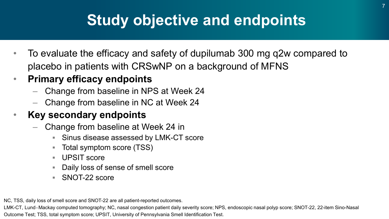## **Study objective and endpoints**

- To evaluate the efficacy and safety of dupilumab 300 mg q2w compared to placebo in patients with CRSwNP on a background of MFNS
- **Primary efficacy endpoints**
	- Change from baseline in NPS at Week 24
	- Change from baseline in NC at Week 24

#### • **Key secondary endpoints**

- Change from baseline at Week 24 in
	- Sinus disease assessed by LMK-CT score
	- Total symptom score (TSS)
	- UPSIT score
	- Daily loss of sense of smell score
	- SNOT-22 score

NC, TSS, daily loss of smell score and SNOT-22 are all patient-reported outcomes.

LMK-CT, Lund–Mackay computed tomography; NC, nasal congestion patient daily severity score; NPS, endoscopic nasal polyp score; SNOT-22, 22-item Sino-Nasal Outcome Test; TSS, total symptom score; UPSIT, University of Pennsylvania Smell Identification Test.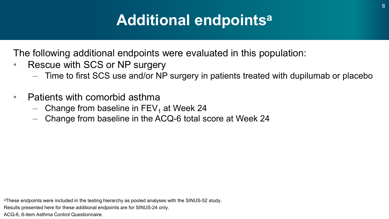## **Additional endpointsa**

The following additional endpoints were evaluated in this population:

- Rescue with SCS or NP surgery
	- Time to first SCS use and/or NP surgery in patients treated with dupilumab or placebo
- Patients with comorbid asthma
	- Change from baseline in  $FEV_1$  at Week 24
	- Change from baseline in the ACQ-6 total score at Week 24

aThese endpoints were included in the testing hierarchy as pooled analyses with the SINUS-52 study.

Results presented here for these additional endpoints are for SINUS-24 only.

ACQ-6, 6-item Asthma Control Questionnaire.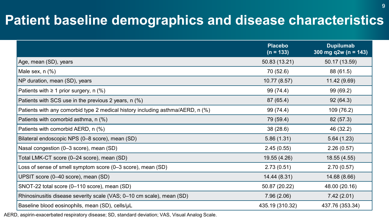### **Patient baseline demographics and disease characteristics**

|                                                                                | <b>Placebo</b><br>$(n = 133)$ | <b>Dupilumab</b><br>300 mg q2w (n = 143) |
|--------------------------------------------------------------------------------|-------------------------------|------------------------------------------|
| Age, mean (SD), years                                                          | 50.83 (13.21)                 | 50.17 (13.59)                            |
| Male sex, $n$ $%$                                                              | 70 (52.6)                     | 88 (61.5)                                |
| NP duration, mean (SD), years                                                  | 10.77 (8.57)                  | 11.42 (9.69)                             |
| Patients with $\geq 1$ prior surgery, n (%)                                    | 99 (74.4)                     | 99 (69.2)                                |
| Patients with SCS use in the previous 2 years, n (%)                           | 87 (65.4)                     | 92(64.3)                                 |
| Patients with any comorbid type 2 medical history including asthma/AERD, n (%) | 99 (74.4)                     | 109 (76.2)                               |
| Patients with comorbid asthma, n (%)                                           | 79 (59.4)                     | 82 (57.3)                                |
| Patients with comorbid AERD, n (%)                                             | 38(28.6)                      | 46 (32.2)                                |
| Bilateral endoscopic NPS (0-8 score), mean (SD)                                | 5.86(1.31)                    | 5.64(1.23)                               |
| Nasal congestion (0-3 score), mean (SD)                                        | 2.45(0.55)                    | 2.26(0.57)                               |
| Total LMK-CT score (0–24 score), mean (SD)                                     | 19.55 (4.26)                  | 18.55 (4.55)                             |
| Loss of sense of smell symptom score (0-3 score), mean (SD)                    | 2.73(0.51)                    | 2.70(0.57)                               |
| UPSIT score (0-40 score), mean (SD)                                            | 14.44 (8.31)                  | 14.68 (8.66)                             |
| SNOT-22 total score (0-110 score), mean (SD)                                   | 50.87 (20.22)                 | 48.00 (20.16)                            |
| Rhinosinusitis disease severity scale (VAS; 0-10 cm scale), mean (SD)          | 7.96(2.06)                    | 7.42(2.01)                               |
| Baseline blood eosinophils, mean (SD), cells/µL                                | 435.19 (310.32)               | 437.76 (353.34)                          |

AERD, aspirin-exacerbated respiratory disease; SD, standard deviation; VAS, Visual Analog Scale.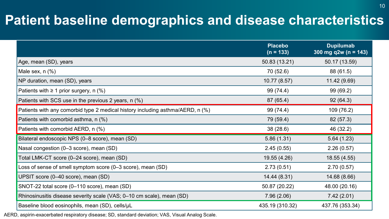### **Patient baseline demographics and disease characteristics**

|                                                                                | <b>Placebo</b><br>$(n = 133)$ | <b>Dupilumab</b><br>300 mg q2w (n = $143$ ) |
|--------------------------------------------------------------------------------|-------------------------------|---------------------------------------------|
| Age, mean (SD), years                                                          | 50.83 (13.21)                 | 50.17 (13.59)                               |
| Male sex, $n$ $%$                                                              | 70 (52.6)                     | 88 (61.5)                                   |
| NP duration, mean (SD), years                                                  | 10.77(8.57)                   | 11.42 (9.69)                                |
| Patients with $\geq 1$ prior surgery, n (%)                                    | 99 (74.4)                     | 99 (69.2)                                   |
| Patients with SCS use in the previous 2 years, n (%)                           | 87 (65.4)                     | 92(64.3)                                    |
| Patients with any comorbid type 2 medical history including asthma/AERD, n (%) | 99 (74.4)                     | 109 (76.2)                                  |
| Patients with comorbid asthma, n (%)                                           | 79 (59.4)                     | 82 (57.3)                                   |
| Patients with comorbid AERD, n (%)                                             | 38(28.6)                      | 46 (32.2)                                   |
| Bilateral endoscopic NPS (0-8 score), mean (SD)                                | 5.86(1.31)                    | 5.64(1.23)                                  |
| Nasal congestion (0-3 score), mean (SD)                                        | 2.45(0.55)                    | 2.26(0.57)                                  |
| Total LMK-CT score (0-24 score), mean (SD)                                     | 19.55 (4.26)                  | 18.55 (4.55)                                |
| Loss of sense of smell symptom score (0-3 score), mean (SD)                    | 2.73(0.51)                    | 2.70(0.57)                                  |
| UPSIT score (0-40 score), mean (SD)                                            | 14.44 (8.31)                  | 14.68 (8.66)                                |
| SNOT-22 total score (0-110 score), mean (SD)                                   | 50.87 (20.22)                 | 48.00 (20.16)                               |
| Rhinosinusitis disease severity scale (VAS; 0-10 cm scale), mean (SD)          | 7.96(2.06)                    | 7.42(2.01)                                  |
| Baseline blood eosinophils, mean (SD), cells/µL                                | 435.19 (310.32)               | 437.76 (353.34)                             |

AERD, aspirin-exacerbated respiratory disease; SD, standard deviation; VAS, Visual Analog Scale.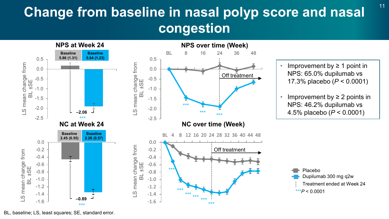## **Change from baseline in nasal polyp score and nasal**  $11$ **congestion**



BL, baseline; LS, least squares; SE, standard error.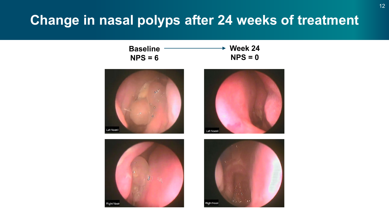#### **Change in nasal polyps after 24 weeks of treatment**

| <b>Baseline</b> | $\rightarrow$ Week 24 |
|-----------------|-----------------------|
| $NPS = 6$       | $NPS = 0$             |







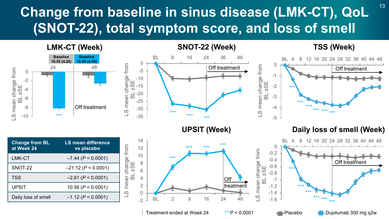## Change from baseline in sinus disease (LMK-CT), QoL <sup>13</sup> **(SNOT-22), total symptom score, and loss of smell**



Treatment ended at Week 24 \*\*\**P* < 0.0001 Placebo Dupilumab 300 mg q2w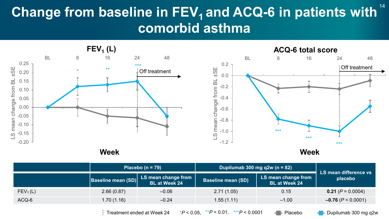## **Change from baseline in FEV<sub>1</sub> and ACQ-6 in patients with <sup>14</sup> comorbid asthma**



|                      |                           | Placebo ( $n = 79$ )                        | Dupilumab 300 mg q2w (n = $82$ ) |                                             | LS mean difference vs        |
|----------------------|---------------------------|---------------------------------------------|----------------------------------|---------------------------------------------|------------------------------|
|                      | <b>Baseline mean (SD)</b> | LS mean change from<br><b>BL</b> at Week 24 | <b>Baseline mean (SD)</b>        | LS mean change from<br><b>BL</b> at Week 24 | placebo                      |
| FEV <sub>1</sub> (L) | 2.66(0.87)                | $-0.06$                                     | 2.71(1.05)                       | 0.15                                        | <b>0.21</b> ( $P = 0.0004$ ) |
| ACQ-6                | 1.70 (1.16)               | $-0.24$                                     | 1.55(1.11)                       | $-1.00$                                     | $-0.76$ ( $P < 0.0001$ )     |

Treatment ended at Week 24  $*P < 0.05$ ,  $*P < 0.01$ ,  $*P < 0.0001$  Placebo **Place Dupilumab 300 mg q2w**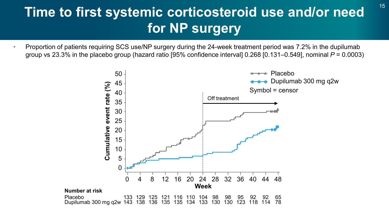## <sup>15</sup> **Time to first systemic corticosteroid use and/or need for NP surgery**

• Proportion of patients requiring SCS use/NP surgery during the 24-week treatment period was 7.2% in the dupilumab group vs 23.3% in the placebo group (hazard ratio [95% confidence interval] 0.268 [0.131–0.549], nominal *P* = 0.0003)

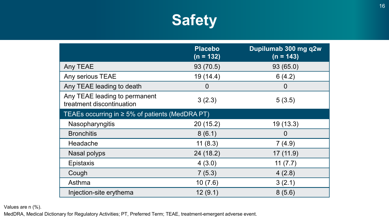

|                                                            | <b>Placebo</b><br>$(n = 132)$ | Dupilumab 300 mg q2w<br>$(n = 143)$ |  |  |
|------------------------------------------------------------|-------------------------------|-------------------------------------|--|--|
| Any TEAE                                                   | 93 (70.5)                     | 93 (65.0)                           |  |  |
| Any serious TEAE                                           | 19(14.4)                      | 6(4.2)                              |  |  |
| Any TEAE leading to death                                  | $\overline{0}$                | $\mathbf 0$                         |  |  |
| Any TEAE leading to permanent<br>treatment discontinuation | 3(2.3)                        | 5(3.5)                              |  |  |
| TEAEs occurring in $\geq 5\%$ of patients (MedDRA PT)      |                               |                                     |  |  |
| Nasopharyngitis                                            | 20 (15.2)                     | 19(13.3)                            |  |  |
| <b>Bronchitis</b>                                          | 8(6.1)                        | 0                                   |  |  |
| Headache                                                   | 11(8.3)                       | 7(4.9)                              |  |  |
| Nasal polyps                                               | 24 (18.2)                     | 17(11.9)                            |  |  |
| Epistaxis                                                  | 4(3.0)                        | 11 $(7.7)$                          |  |  |
| Cough                                                      | 7(5.3)                        | 4(2.8)                              |  |  |
| Asthma                                                     | 10(7.6)                       | 3(2.1)                              |  |  |
| Injection-site erythema                                    | 12(9.1)                       | 8(5.6)                              |  |  |

Values are n (%).

MedDRA, Medical Dictionary for Regulatory Activities; PT, Preferred Term; TEAE, treatment-emergent adverse event.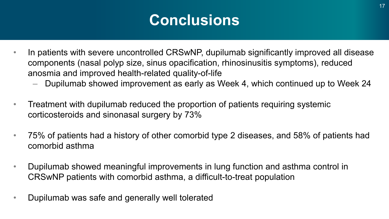## **Conclusions**

- In patients with severe uncontrolled CRSwNP, dupilumab significantly improved all disease components (nasal polyp size, sinus opacification, rhinosinusitis symptoms), reduced anosmia and improved health-related quality-of-life
	- Dupilumab showed improvement as early as Week 4, which continued up to Week 24
- Treatment with dupilumab reduced the proportion of patients requiring systemic corticosteroids and sinonasal surgery by 73%
- 75% of patients had a history of other comorbid type 2 diseases, and 58% of patients had comorbid asthma
- Dupilumab showed meaningful improvements in lung function and asthma control in CRSwNP patients with comorbid asthma, a difficult-to-treat population
- Dupilumab was safe and generally well tolerated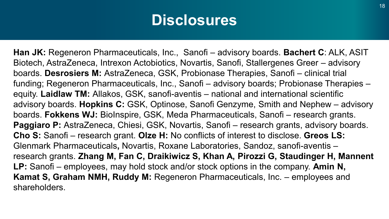## **Disclosures**

**Han JK:** Regeneron Pharmaceuticals, Inc., Sanofi – advisory boards. **Bachert C**: ALK, ASIT Biotech, AstraZeneca, Intrexon Actobiotics, Novartis, Sanofi, Stallergenes Greer – advisory boards. **Desrosiers M:** AstraZeneca, GSK, Probionase Therapies, Sanofi – clinical trial funding; Regeneron Pharmaceuticals, Inc., Sanofi – advisory boards; Probionase Therapies – equity. **Laidlaw TM:** Allakos, GSK, sanofi-aventis – national and international scientific advisory boards. **Hopkins C:** GSK, Optinose, Sanofi Genzyme, Smith and Nephew – advisory boards. **Fokkens WJ:** BioInspire, GSK, Meda Pharmaceuticals, Sanofi – research grants. **Paggiaro P:** AstraZeneca, Chiesi, GSK, Novartis, Sanofi – research grants, advisory boards. **Cho S:** Sanofi – research grant. **Olze H:** No conflicts of interest to disclose. **Greos LS:**  Glenmark Pharmaceuticals**,** Novartis, Roxane Laboratories, Sandoz, sanofi-aventis – research grants. **Zhang M, Fan C, Draikiwicz S, Khan A, Pirozzi G, Staudinger H, Mannent LP:** Sanofi – employees, may hold stock and/or stock options in the company. **Amin N, Kamat S, Graham NMH, Ruddy M:** Regeneron Pharmaceuticals, Inc. – employees and shareholders.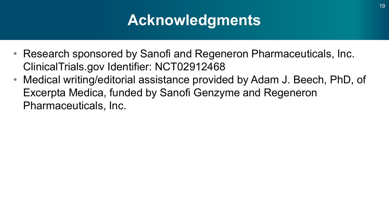## **Acknowledgments**

- Research sponsored by Sanofi and Regeneron Pharmaceuticals, Inc. ClinicalTrials.gov Identifier: NCT02912468
- Medical writing/editorial assistance provided by Adam J. Beech, PhD, of Excerpta Medica, funded by Sanofi Genzyme and Regeneron Pharmaceuticals, Inc.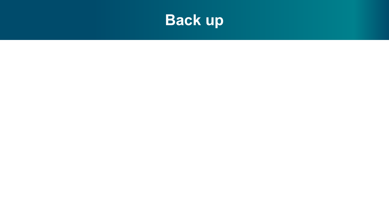